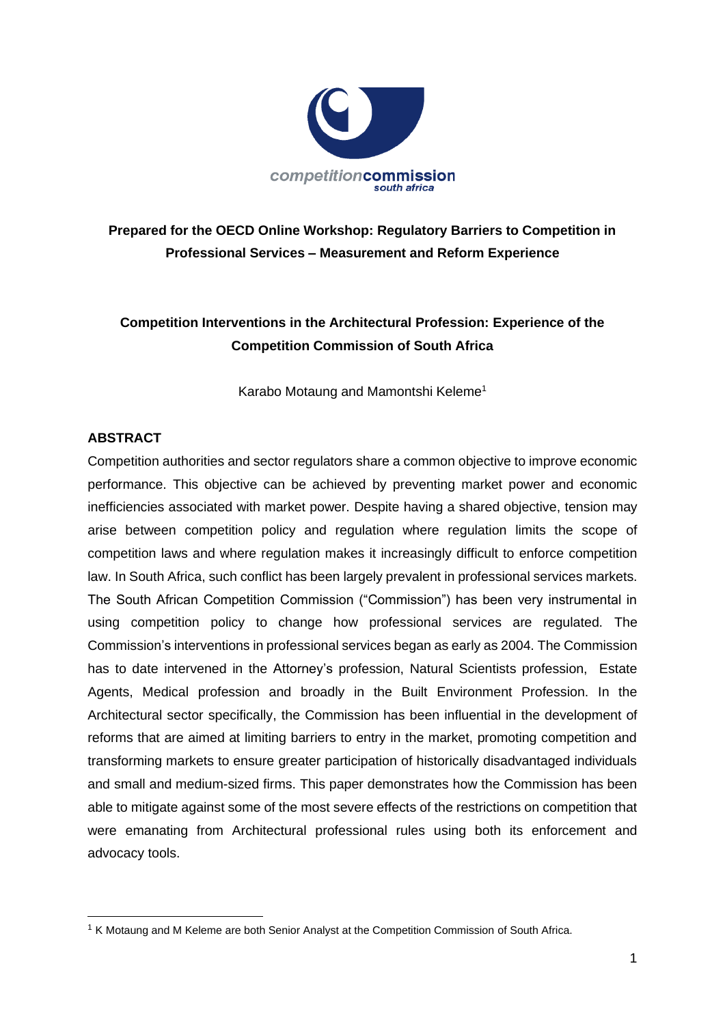

**Prepared for the OECD Online Workshop: Regulatory Barriers to Competition in Professional Services – Measurement and Reform Experience**

## **Competition Interventions in the Architectural Profession: Experience of the Competition Commission of South Africa**

Karabo Motaung and Mamontshi Keleme<sup>1</sup>

### **ABSTRACT**

Competition authorities and sector regulators share a common objective to improve economic performance. This objective can be achieved by preventing market power and economic inefficiencies associated with market power. Despite having a shared objective, tension may arise between competition policy and regulation where regulation limits the scope of competition laws and where regulation makes it increasingly difficult to enforce competition law. In South Africa, such conflict has been largely prevalent in professional services markets. The South African Competition Commission ("Commission") has been very instrumental in using competition policy to change how professional services are regulated. The Commission's interventions in professional services began as early as 2004. The Commission has to date intervened in the Attorney's profession, Natural Scientists profession, Estate Agents, Medical profession and broadly in the Built Environment Profession. In the Architectural sector specifically, the Commission has been influential in the development of reforms that are aimed at limiting barriers to entry in the market, promoting competition and transforming markets to ensure greater participation of historically disadvantaged individuals and small and medium-sized firms. This paper demonstrates how the Commission has been able to mitigate against some of the most severe effects of the restrictions on competition that were emanating from Architectural professional rules using both its enforcement and advocacy tools.

<sup>&</sup>lt;sup>1</sup> K Motaung and M Keleme are both Senior Analyst at the Competition Commission of South Africa.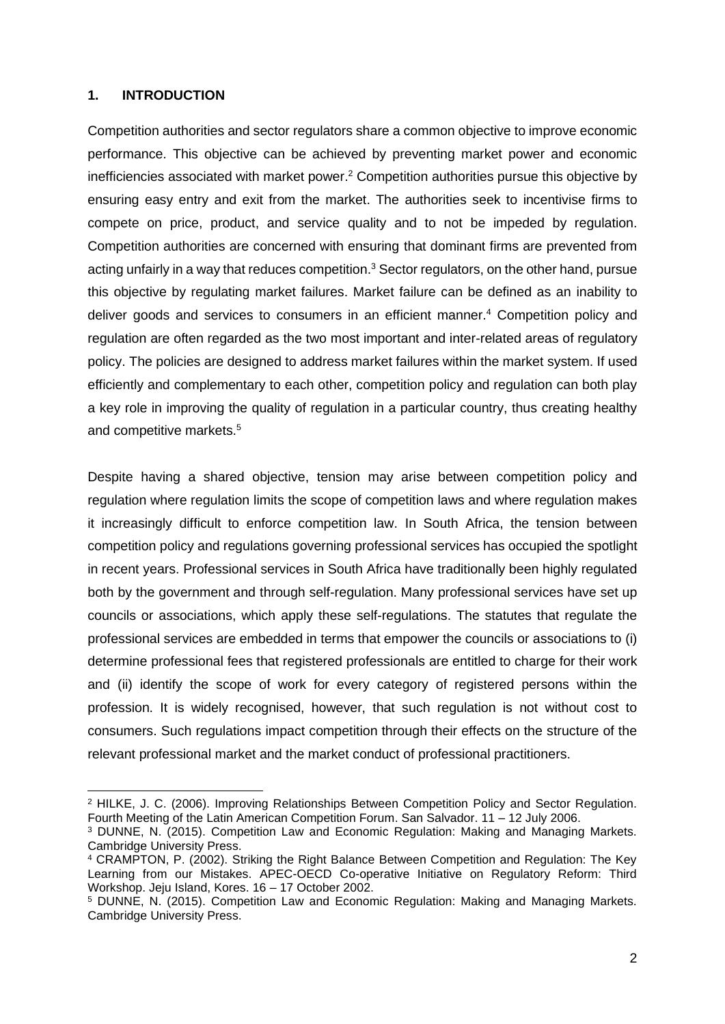### **1. INTRODUCTION**

Competition authorities and sector regulators share a common objective to improve economic performance. This objective can be achieved by preventing market power and economic inefficiencies associated with market power. <sup>2</sup> Competition authorities pursue this objective by ensuring easy entry and exit from the market. The authorities seek to incentivise firms to compete on price, product, and service quality and to not be impeded by regulation. Competition authorities are concerned with ensuring that dominant firms are prevented from acting unfairly in a way that reduces competition.<sup>3</sup> Sector regulators, on the other hand, pursue this objective by regulating market failures. Market failure can be defined as an inability to deliver goods and services to consumers in an efficient manner.<sup>4</sup> Competition policy and regulation are often regarded as the two most important and inter-related areas of regulatory policy. The policies are designed to address market failures within the market system. If used efficiently and complementary to each other, competition policy and regulation can both play a key role in improving the quality of regulation in a particular country, thus creating healthy and competitive markets.<sup>5</sup>

Despite having a shared objective, tension may arise between competition policy and regulation where regulation limits the scope of competition laws and where regulation makes it increasingly difficult to enforce competition law. In South Africa, the tension between competition policy and regulations governing professional services has occupied the spotlight in recent years. Professional services in South Africa have traditionally been highly regulated both by the government and through self-regulation. Many professional services have set up councils or associations, which apply these self-regulations. The statutes that regulate the professional services are embedded in terms that empower the councils or associations to (i) determine professional fees that registered professionals are entitled to charge for their work and (ii) identify the scope of work for every category of registered persons within the profession. It is widely recognised, however, that such regulation is not without cost to consumers. Such regulations impact competition through their effects on the structure of the relevant professional market and the market conduct of professional practitioners.

<sup>2</sup> HILKE, J. C. (2006). Improving Relationships Between Competition Policy and Sector Regulation. Fourth Meeting of the Latin American Competition Forum. San Salvador. 11 – 12 July 2006.

<sup>3</sup> DUNNE, N. (2015). Competition Law and Economic Regulation: Making and Managing Markets. Cambridge University Press.

<sup>4</sup> CRAMPTON, P. (2002). Striking the Right Balance Between Competition and Regulation: The Key Learning from our Mistakes. APEC-OECD Co-operative Initiative on Regulatory Reform: Third Workshop. Jeju Island, Kores. 16 – 17 October 2002.

<sup>5</sup> DUNNE, N. (2015). Competition Law and Economic Regulation: Making and Managing Markets. Cambridge University Press.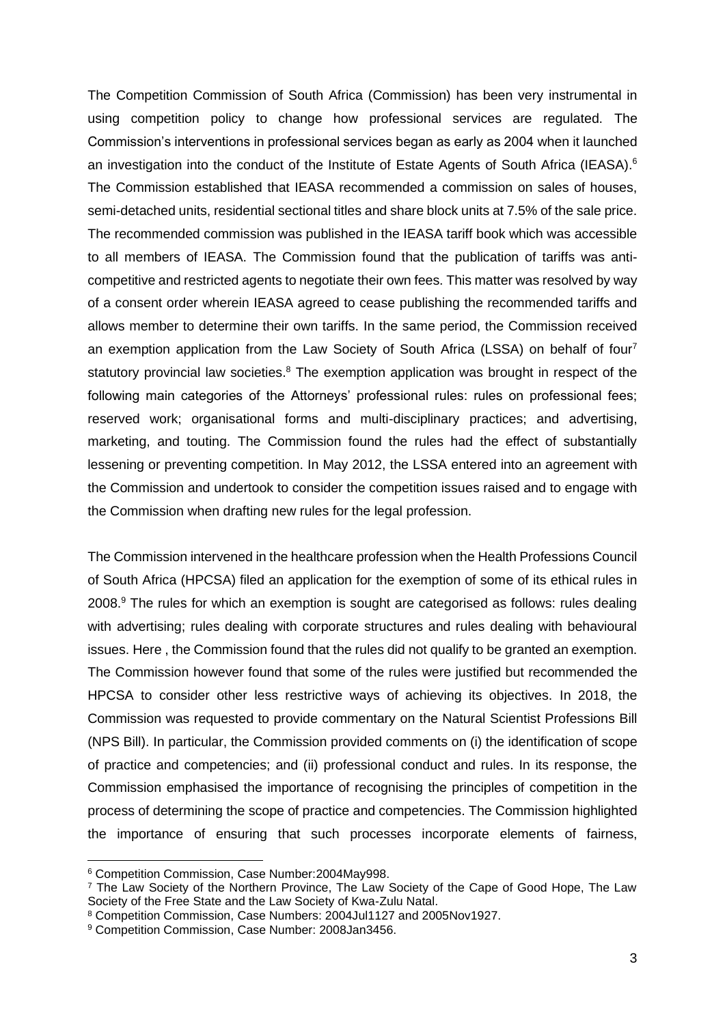The Competition Commission of South Africa (Commission) has been very instrumental in using competition policy to change how professional services are regulated. The Commission's interventions in professional services began as early as 2004 when it launched an investigation into the conduct of the Institute of Estate Agents of South Africa (IEASA).<sup>6</sup> The Commission established that IEASA recommended a commission on sales of houses, semi-detached units, residential sectional titles and share block units at 7.5% of the sale price. The recommended commission was published in the IEASA tariff book which was accessible to all members of IEASA. The Commission found that the publication of tariffs was anticompetitive and restricted agents to negotiate their own fees. This matter was resolved by way of a consent order wherein IEASA agreed to cease publishing the recommended tariffs and allows member to determine their own tariffs. In the same period, the Commission received an exemption application from the Law Society of South Africa (LSSA) on behalf of four<sup>7</sup> statutory provincial law societies.<sup>8</sup> The exemption application was brought in respect of the following main categories of the Attorneys' professional rules: rules on professional fees; reserved work; organisational forms and multi-disciplinary practices; and advertising, marketing, and touting. The Commission found the rules had the effect of substantially lessening or preventing competition. In May 2012, the LSSA entered into an agreement with the Commission and undertook to consider the competition issues raised and to engage with the Commission when drafting new rules for the legal profession.

The Commission intervened in the healthcare profession when the Health Professions Council of South Africa (HPCSA) filed an application for the exemption of some of its ethical rules in 2008.<sup>9</sup> The rules for which an exemption is sought are categorised as follows: rules dealing with advertising; rules dealing with corporate structures and rules dealing with behavioural issues. Here , the Commission found that the rules did not qualify to be granted an exemption. The Commission however found that some of the rules were justified but recommended the HPCSA to consider other less restrictive ways of achieving its objectives. In 2018, the Commission was requested to provide commentary on the Natural Scientist Professions Bill (NPS Bill). In particular, the Commission provided comments on (i) the identification of scope of practice and competencies; and (ii) professional conduct and rules. In its response, the Commission emphasised the importance of recognising the principles of competition in the process of determining the scope of practice and competencies. The Commission highlighted the importance of ensuring that such processes incorporate elements of fairness,

<sup>6</sup> Competition Commission, Case Number:2004May998.

<sup>7</sup> The Law Society of the Northern Province, The Law Society of the Cape of Good Hope, The Law Society of the Free State and the Law Society of Kwa-Zulu Natal.

<sup>8</sup> Competition Commission, Case Numbers: 2004Jul1127 and 2005Nov1927.

<sup>9</sup> Competition Commission, Case Number: 2008Jan3456.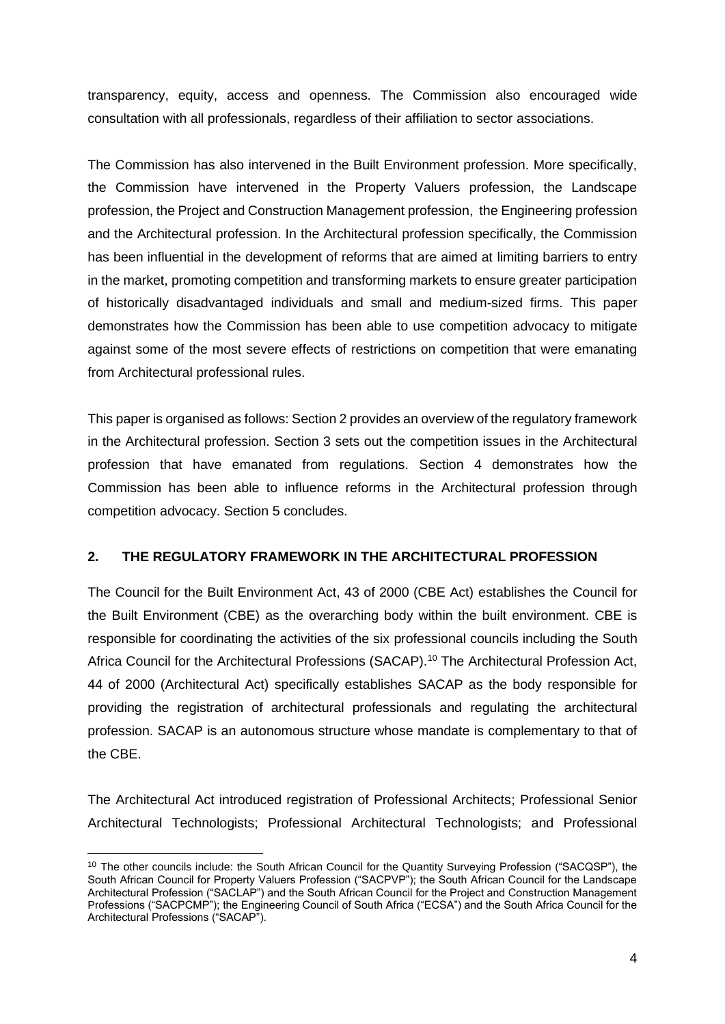transparency, equity, access and openness. The Commission also encouraged wide consultation with all professionals, regardless of their affiliation to sector associations.

The Commission has also intervened in the Built Environment profession. More specifically, the Commission have intervened in the Property Valuers profession, the Landscape profession, the Project and Construction Management profession, the Engineering profession and the Architectural profession. In the Architectural profession specifically, the Commission has been influential in the development of reforms that are aimed at limiting barriers to entry in the market, promoting competition and transforming markets to ensure greater participation of historically disadvantaged individuals and small and medium-sized firms. This paper demonstrates how the Commission has been able to use competition advocacy to mitigate against some of the most severe effects of restrictions on competition that were emanating from Architectural professional rules.

This paper is organised as follows: Section 2 provides an overview of the regulatory framework in the Architectural profession. Section 3 sets out the competition issues in the Architectural profession that have emanated from regulations. Section 4 demonstrates how the Commission has been able to influence reforms in the Architectural profession through competition advocacy. Section 5 concludes.

### **2. THE REGULATORY FRAMEWORK IN THE ARCHITECTURAL PROFESSION**

The Council for the Built Environment Act, 43 of 2000 (CBE Act) establishes the Council for the Built Environment (CBE) as the overarching body within the built environment. CBE is responsible for coordinating the activities of the six professional councils including the South Africa Council for the Architectural Professions (SACAP).<sup>10</sup> The Architectural Profession Act, 44 of 2000 (Architectural Act) specifically establishes SACAP as the body responsible for providing the registration of architectural professionals and regulating the architectural profession. SACAP is an autonomous structure whose mandate is complementary to that of the CBE.

The Architectural Act introduced registration of Professional Architects; Professional Senior Architectural Technologists; Professional Architectural Technologists; and Professional

<sup>&</sup>lt;sup>10</sup> The other councils include: the South African Council for the Quantity Surveying Profession ("SACQSP"), the South African Council for Property Valuers Profession ("SACPVP"); the South African Council for the Landscape Architectural Profession ("SACLAP") and the South African Council for the Project and Construction Management Professions ("SACPCMP"); the Engineering Council of South Africa ("ECSA") and the South Africa Council for the Architectural Professions ("SACAP").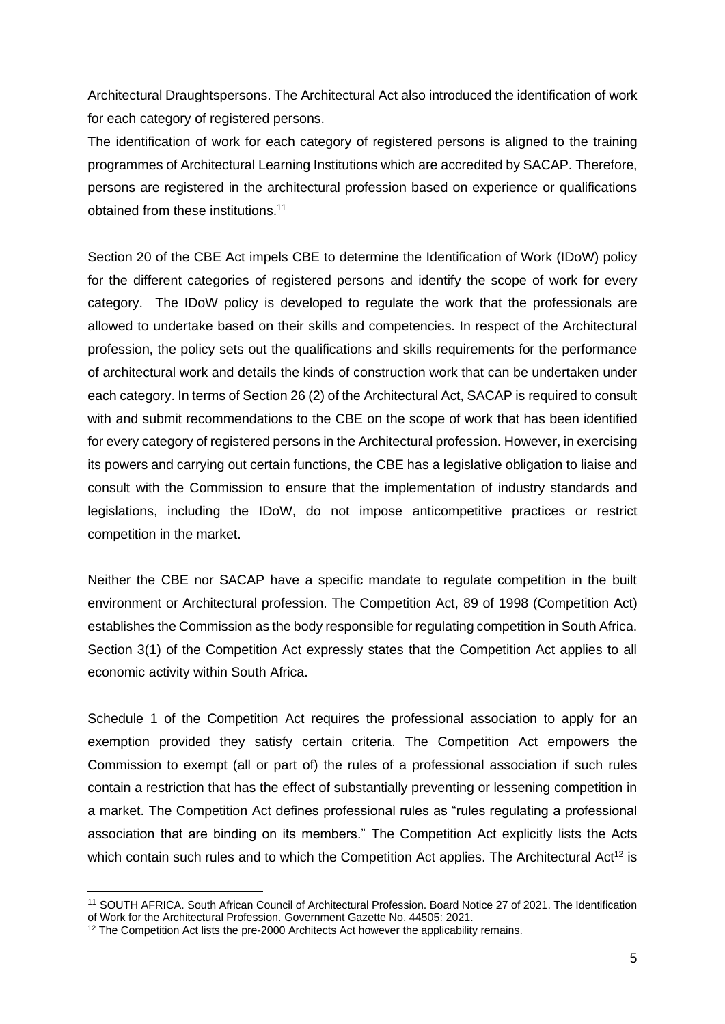Architectural Draughtspersons. The Architectural Act also introduced the identification of work for each category of registered persons.

The identification of work for each category of registered persons is aligned to the training programmes of Architectural Learning Institutions which are accredited by SACAP. Therefore, persons are registered in the architectural profession based on experience or qualifications obtained from these institutions. 11

Section 20 of the CBE Act impels CBE to determine the Identification of Work (IDoW) policy for the different categories of registered persons and identify the scope of work for every category. The IDoW policy is developed to regulate the work that the professionals are allowed to undertake based on their skills and competencies. In respect of the Architectural profession, the policy sets out the qualifications and skills requirements for the performance of architectural work and details the kinds of construction work that can be undertaken under each category. In terms of Section 26 (2) of the Architectural Act, SACAP is required to consult with and submit recommendations to the CBE on the scope of work that has been identified for every category of registered persons in the Architectural profession. However, in exercising its powers and carrying out certain functions, the CBE has a legislative obligation to liaise and consult with the Commission to ensure that the implementation of industry standards and legislations, including the IDoW, do not impose anticompetitive practices or restrict competition in the market.

Neither the CBE nor SACAP have a specific mandate to regulate competition in the built environment or Architectural profession. The Competition Act, 89 of 1998 (Competition Act) establishes the Commission as the body responsible for regulating competition in South Africa. Section 3(1) of the Competition Act expressly states that the Competition Act applies to all economic activity within South Africa.

Schedule 1 of the Competition Act requires the professional association to apply for an exemption provided they satisfy certain criteria. The Competition Act empowers the Commission to exempt (all or part of) the rules of a professional association if such rules contain a restriction that has the effect of substantially preventing or lessening competition in a market. The Competition Act defines professional rules as "rules regulating a professional association that are binding on its members." The Competition Act explicitly lists the Acts which contain such rules and to which the Competition Act applies. The Architectural Act<sup>12</sup> is

<sup>11</sup> SOUTH AFRICA. South African Council of Architectural Profession. Board Notice 27 of 2021. The Identification of Work for the Architectural Profession. Government Gazette No. 44505: 2021.

<sup>&</sup>lt;sup>12</sup> The Competition Act lists the pre-2000 Architects Act however the applicability remains.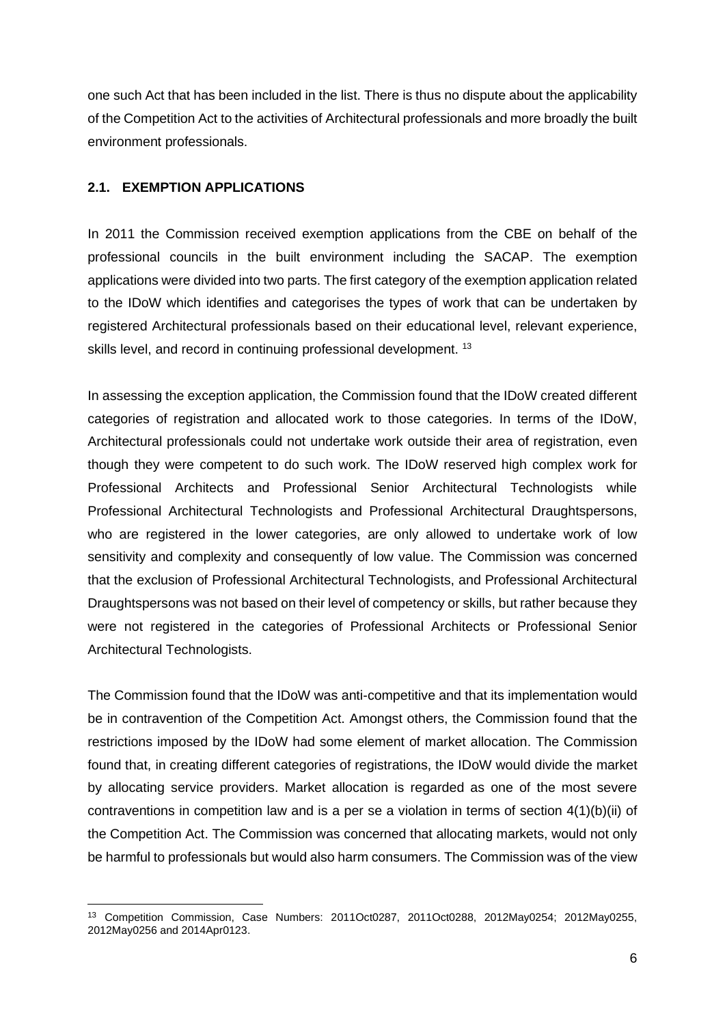one such Act that has been included in the list. There is thus no dispute about the applicability of the Competition Act to the activities of Architectural professionals and more broadly the built environment professionals.

### **2.1. EXEMPTION APPLICATIONS**

In 2011 the Commission received exemption applications from the CBE on behalf of the professional councils in the built environment including the SACAP. The exemption applications were divided into two parts. The first category of the exemption application related to the IDoW which identifies and categorises the types of work that can be undertaken by registered Architectural professionals based on their educational level, relevant experience, skills level, and record in continuing professional development. <sup>13</sup>

In assessing the exception application, the Commission found that the IDoW created different categories of registration and allocated work to those categories. In terms of the IDoW, Architectural professionals could not undertake work outside their area of registration, even though they were competent to do such work. The IDoW reserved high complex work for Professional Architects and Professional Senior Architectural Technologists while Professional Architectural Technologists and Professional Architectural Draughtspersons, who are registered in the lower categories, are only allowed to undertake work of low sensitivity and complexity and consequently of low value. The Commission was concerned that the exclusion of Professional Architectural Technologists, and Professional Architectural Draughtspersons was not based on their level of competency or skills, but rather because they were not registered in the categories of Professional Architects or Professional Senior Architectural Technologists.

The Commission found that the IDoW was anti-competitive and that its implementation would be in contravention of the Competition Act. Amongst others, the Commission found that the restrictions imposed by the IDoW had some element of market allocation. The Commission found that, in creating different categories of registrations, the IDoW would divide the market by allocating service providers. Market allocation is regarded as one of the most severe contraventions in competition law and is a per se a violation in terms of section 4(1)(b)(ii) of the Competition Act. The Commission was concerned that allocating markets, would not only be harmful to professionals but would also harm consumers. The Commission was of the view

<sup>13</sup> Competition Commission, Case Numbers: 2011Oct0287, 2011Oct0288, 2012May0254; 2012May0255, 2012May0256 and 2014Apr0123.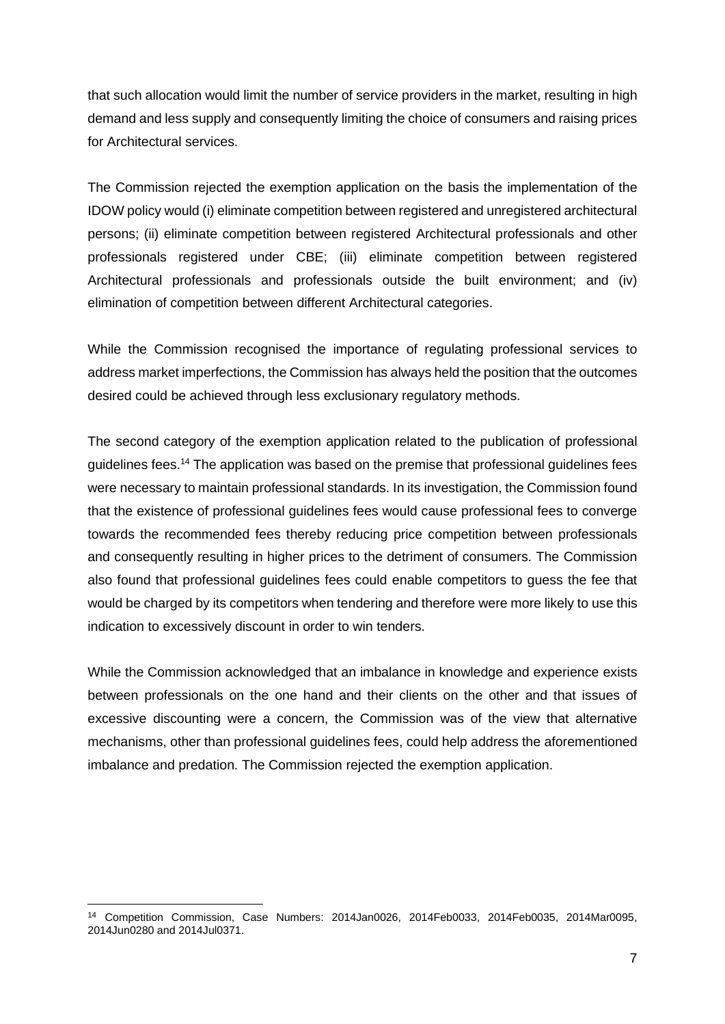that such allocation would limit the number of service providers in the market, resulting in high demand and less supply and consequently limiting the choice of consumers and raising prices for Architectural services.

The Commission rejected the exemption application on the basis the implementation of the IDOW policy would (i) eliminate competition between registered and unregistered architectural persons; (ii) eliminate competition between registered Architectural professionals and other professionals registered under CBE; (iii) eliminate competition between registered Architectural professionals and professionals outside the built environment; and (iv) elimination of competition between different Architectural categories.

While the Commission recognised the importance of regulating professional services to address market imperfections, the Commission has always held the position that the outcomes desired could be achieved through less exclusionary regulatory methods.

The second category of the exemption application related to the publication of professional guidelines fees.<sup>14</sup> The application was based on the premise that professional guidelines fees were necessary to maintain professional standards. In its investigation, the Commission found that the existence of professional guidelines fees would cause professional fees to converge towards the recommended fees thereby reducing price competition between professionals and consequently resulting in higher prices to the detriment of consumers. The Commission also found that professional guidelines fees could enable competitors to guess the fee that would be charged by its competitors when tendering and therefore were more likely to use this indication to excessively discount in order to win tenders.

While the Commission acknowledged that an imbalance in knowledge and experience exists between professionals on the one hand and their clients on the other and that issues of excessive discounting were a concern, the Commission was of the view that alternative mechanisms, other than professional guidelines fees, could help address the aforementioned imbalance and predation. The Commission rejected the exemption application.

<sup>14</sup> Competition Commission, Case Numbers: 2014Jan0026, 2014Feb0033, 2014Feb0035, 2014Mar0095, 2014Jun0280 and 2014Jul0371.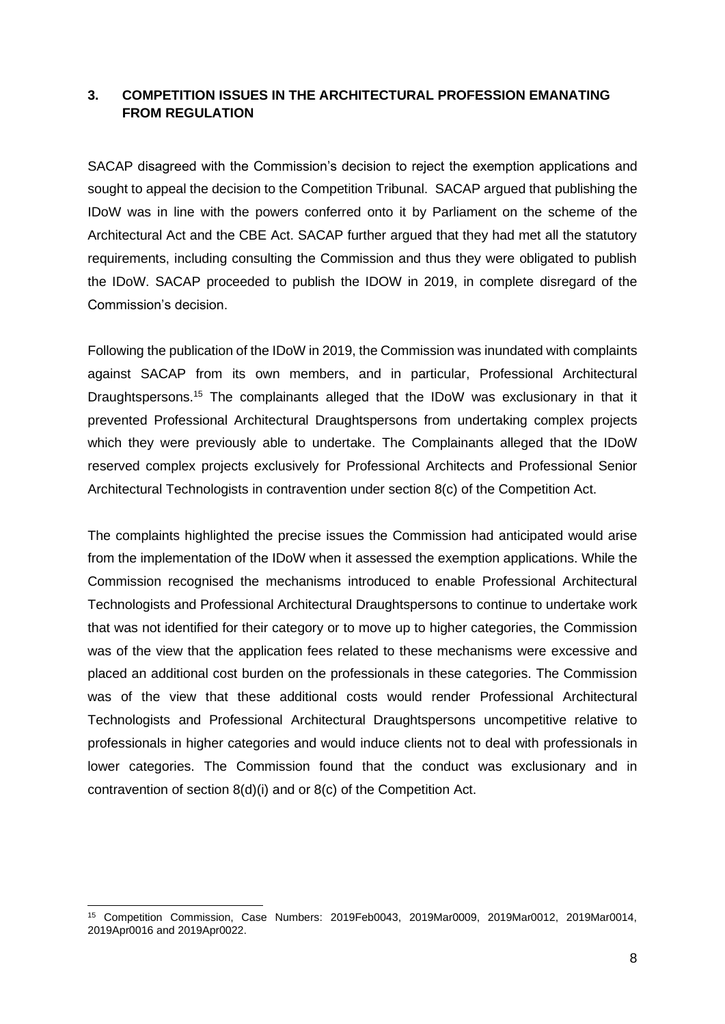### **3. COMPETITION ISSUES IN THE ARCHITECTURAL PROFESSION EMANATING FROM REGULATION**

SACAP disagreed with the Commission's decision to reject the exemption applications and sought to appeal the decision to the Competition Tribunal. SACAP argued that publishing the IDoW was in line with the powers conferred onto it by Parliament on the scheme of the Architectural Act and the CBE Act. SACAP further argued that they had met all the statutory requirements, including consulting the Commission and thus they were obligated to publish the IDoW. SACAP proceeded to publish the IDOW in 2019, in complete disregard of the Commission's decision.

Following the publication of the IDoW in 2019, the Commission was inundated with complaints against SACAP from its own members, and in particular, Professional Architectural Draughtspersons.<sup>15</sup> The complainants alleged that the IDoW was exclusionary in that it prevented Professional Architectural Draughtspersons from undertaking complex projects which they were previously able to undertake. The Complainants alleged that the IDoW reserved complex projects exclusively for Professional Architects and Professional Senior Architectural Technologists in contravention under section 8(c) of the Competition Act.

The complaints highlighted the precise issues the Commission had anticipated would arise from the implementation of the IDoW when it assessed the exemption applications. While the Commission recognised the mechanisms introduced to enable Professional Architectural Technologists and Professional Architectural Draughtspersons to continue to undertake work that was not identified for their category or to move up to higher categories, the Commission was of the view that the application fees related to these mechanisms were excessive and placed an additional cost burden on the professionals in these categories. The Commission was of the view that these additional costs would render Professional Architectural Technologists and Professional Architectural Draughtspersons uncompetitive relative to professionals in higher categories and would induce clients not to deal with professionals in lower categories. The Commission found that the conduct was exclusionary and in contravention of section 8(d)(i) and or 8(c) of the Competition Act.

<sup>15</sup> Competition Commission, Case Numbers: 2019Feb0043, 2019Mar0009, 2019Mar0012, 2019Mar0014, 2019Apr0016 and 2019Apr0022.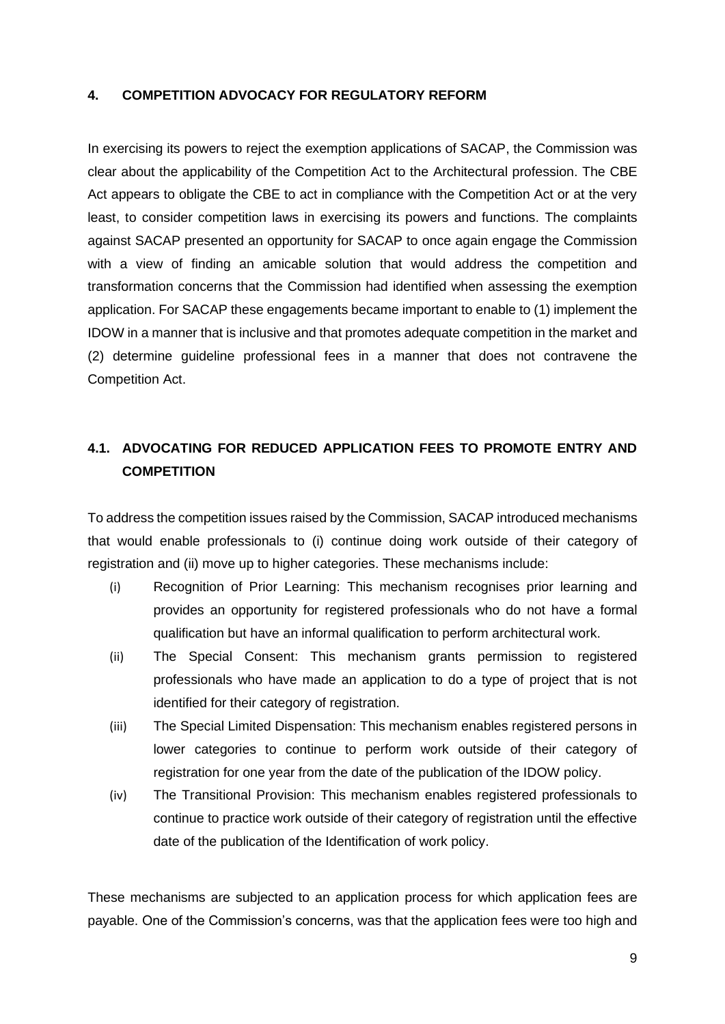### **4. COMPETITION ADVOCACY FOR REGULATORY REFORM**

In exercising its powers to reject the exemption applications of SACAP, the Commission was clear about the applicability of the Competition Act to the Architectural profession. The CBE Act appears to obligate the CBE to act in compliance with the Competition Act or at the very least, to consider competition laws in exercising its powers and functions. The complaints against SACAP presented an opportunity for SACAP to once again engage the Commission with a view of finding an amicable solution that would address the competition and transformation concerns that the Commission had identified when assessing the exemption application. For SACAP these engagements became important to enable to (1) implement the IDOW in a manner that is inclusive and that promotes adequate competition in the market and (2) determine guideline professional fees in a manner that does not contravene the Competition Act.

## **4.1. ADVOCATING FOR REDUCED APPLICATION FEES TO PROMOTE ENTRY AND COMPETITION**

To address the competition issues raised by the Commission, SACAP introduced mechanisms that would enable professionals to (i) continue doing work outside of their category of registration and (ii) move up to higher categories. These mechanisms include:

- (i) Recognition of Prior Learning: This mechanism recognises prior learning and provides an opportunity for registered professionals who do not have a formal qualification but have an informal qualification to perform architectural work.
- (ii) The Special Consent: This mechanism grants permission to registered professionals who have made an application to do a type of project that is not identified for their category of registration.
- (iii) The Special Limited Dispensation: This mechanism enables registered persons in lower categories to continue to perform work outside of their category of registration for one year from the date of the publication of the IDOW policy.
- (iv) The Transitional Provision: This mechanism enables registered professionals to continue to practice work outside of their category of registration until the effective date of the publication of the Identification of work policy.

These mechanisms are subjected to an application process for which application fees are payable. One of the Commission's concerns, was that the application fees were too high and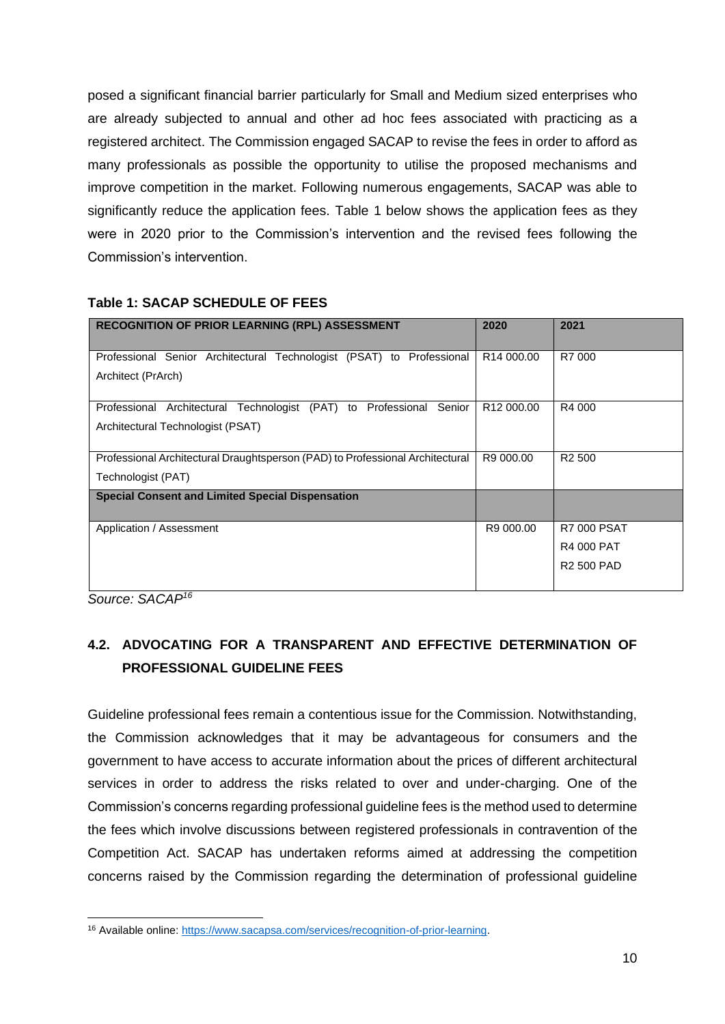posed a significant financial barrier particularly for Small and Medium sized enterprises who are already subjected to annual and other ad hoc fees associated with practicing as a registered architect. The Commission engaged SACAP to revise the fees in order to afford as many professionals as possible the opportunity to utilise the proposed mechanisms and improve competition in the market. Following numerous engagements, SACAP was able to significantly reduce the application fees. Table 1 below shows the application fees as they were in 2020 prior to the Commission's intervention and the revised fees following the Commission's intervention.

| RECOGNITION OF PRIOR LEARNING (RPL) ASSESSMENT                                                               | 2020                   | 2021                                                         |
|--------------------------------------------------------------------------------------------------------------|------------------------|--------------------------------------------------------------|
| Professional Senior Architectural Technologist (PSAT) to<br>Professional<br>Architect (PrArch)               | R <sub>14</sub> 000.00 | R7 000                                                       |
| Professional Architectural Technologist (PAT) to Professional<br>Senior<br>Architectural Technologist (PSAT) | R <sub>12</sub> 000,00 | R4 000                                                       |
| Professional Architectural Draughtsperson (PAD) to Professional Architectural<br>Technologist (PAT)          | R9 000.00              | R <sub>2</sub> 500                                           |
| <b>Special Consent and Limited Special Dispensation</b>                                                      |                        |                                                              |
| Application / Assessment                                                                                     | R9 000.00              | <b>R7 000 PSAT</b><br><b>R4 000 PAT</b><br><b>R2 500 PAD</b> |

#### **Table 1: SACAP SCHEDULE OF FEES**

*Source: SACAP<sup>16</sup>*

# **4.2. ADVOCATING FOR A TRANSPARENT AND EFFECTIVE DETERMINATION OF PROFESSIONAL GUIDELINE FEES**

Guideline professional fees remain a contentious issue for the Commission. Notwithstanding, the Commission acknowledges that it may be advantageous for consumers and the government to have access to accurate information about the prices of different architectural services in order to address the risks related to over and under-charging. One of the Commission's concerns regarding professional guideline fees is the method used to determine the fees which involve discussions between registered professionals in contravention of the Competition Act. SACAP has undertaken reforms aimed at addressing the competition concerns raised by the Commission regarding the determination of professional guideline

<sup>16</sup> Available online: [https://www.sacapsa.com/services/recognition-of-prior-learning.](https://www.sacapsa.com/services/recognition-of-prior-learning)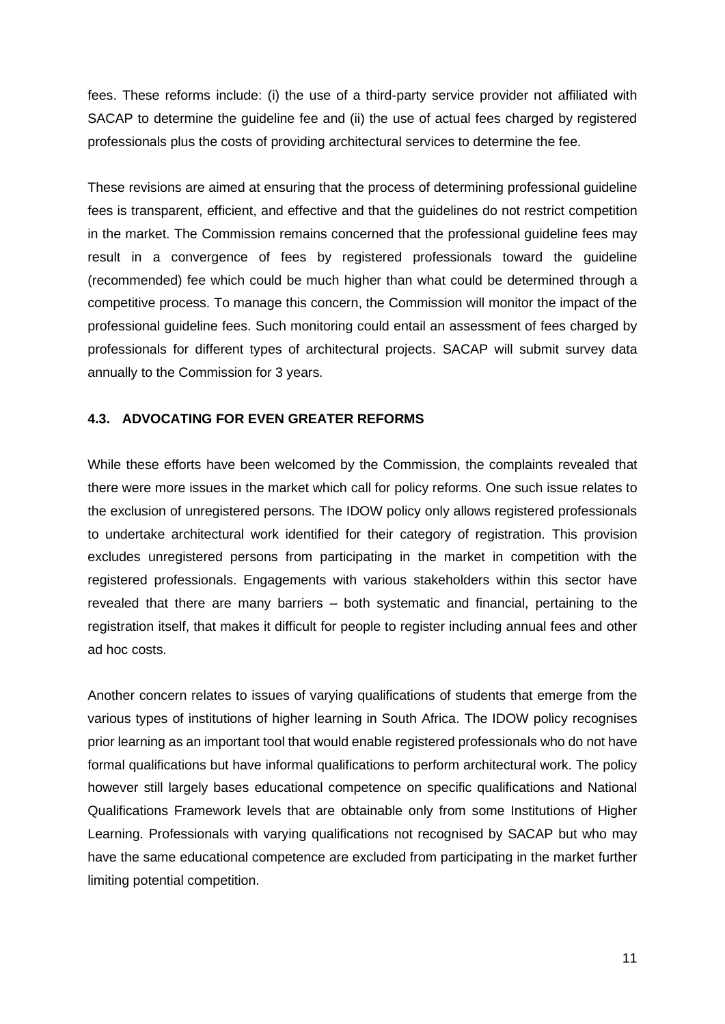fees. These reforms include: (i) the use of a third-party service provider not affiliated with SACAP to determine the guideline fee and (ii) the use of actual fees charged by registered professionals plus the costs of providing architectural services to determine the fee.

These revisions are aimed at ensuring that the process of determining professional guideline fees is transparent, efficient, and effective and that the guidelines do not restrict competition in the market. The Commission remains concerned that the professional guideline fees may result in a convergence of fees by registered professionals toward the guideline (recommended) fee which could be much higher than what could be determined through a competitive process. To manage this concern, the Commission will monitor the impact of the professional guideline fees. Such monitoring could entail an assessment of fees charged by professionals for different types of architectural projects. SACAP will submit survey data annually to the Commission for 3 years.

#### **4.3. ADVOCATING FOR EVEN GREATER REFORMS**

While these efforts have been welcomed by the Commission, the complaints revealed that there were more issues in the market which call for policy reforms. One such issue relates to the exclusion of unregistered persons. The IDOW policy only allows registered professionals to undertake architectural work identified for their category of registration. This provision excludes unregistered persons from participating in the market in competition with the registered professionals. Engagements with various stakeholders within this sector have revealed that there are many barriers – both systematic and financial, pertaining to the registration itself, that makes it difficult for people to register including annual fees and other ad hoc costs.

Another concern relates to issues of varying qualifications of students that emerge from the various types of institutions of higher learning in South Africa. The IDOW policy recognises prior learning as an important tool that would enable registered professionals who do not have formal qualifications but have informal qualifications to perform architectural work. The policy however still largely bases educational competence on specific qualifications and National Qualifications Framework levels that are obtainable only from some Institutions of Higher Learning. Professionals with varying qualifications not recognised by SACAP but who may have the same educational competence are excluded from participating in the market further limiting potential competition.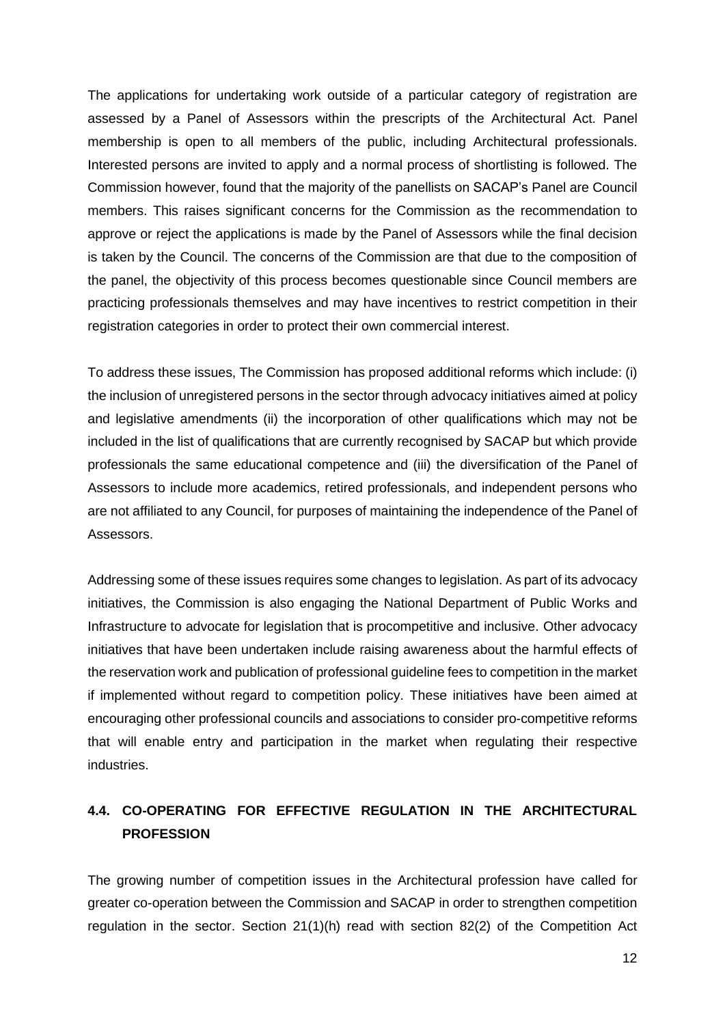The applications for undertaking work outside of a particular category of registration are assessed by a Panel of Assessors within the prescripts of the Architectural Act. Panel membership is open to all members of the public, including Architectural professionals. Interested persons are invited to apply and a normal process of shortlisting is followed. The Commission however, found that the majority of the panellists on SACAP's Panel are Council members. This raises significant concerns for the Commission as the recommendation to approve or reject the applications is made by the Panel of Assessors while the final decision is taken by the Council. The concerns of the Commission are that due to the composition of the panel, the objectivity of this process becomes questionable since Council members are practicing professionals themselves and may have incentives to restrict competition in their registration categories in order to protect their own commercial interest.

To address these issues, The Commission has proposed additional reforms which include: (i) the inclusion of unregistered persons in the sector through advocacy initiatives aimed at policy and legislative amendments (ii) the incorporation of other qualifications which may not be included in the list of qualifications that are currently recognised by SACAP but which provide professionals the same educational competence and (iii) the diversification of the Panel of Assessors to include more academics, retired professionals, and independent persons who are not affiliated to any Council, for purposes of maintaining the independence of the Panel of Assessors.

Addressing some of these issues requires some changes to legislation. As part of its advocacy initiatives, the Commission is also engaging the National Department of Public Works and Infrastructure to advocate for legislation that is procompetitive and inclusive. Other advocacy initiatives that have been undertaken include raising awareness about the harmful effects of the reservation work and publication of professional guideline fees to competition in the market if implemented without regard to competition policy. These initiatives have been aimed at encouraging other professional councils and associations to consider pro-competitive reforms that will enable entry and participation in the market when regulating their respective industries.

## **4.4. CO-OPERATING FOR EFFECTIVE REGULATION IN THE ARCHITECTURAL PROFESSION**

The growing number of competition issues in the Architectural profession have called for greater co-operation between the Commission and SACAP in order to strengthen competition regulation in the sector. Section 21(1)(h) read with section 82(2) of the Competition Act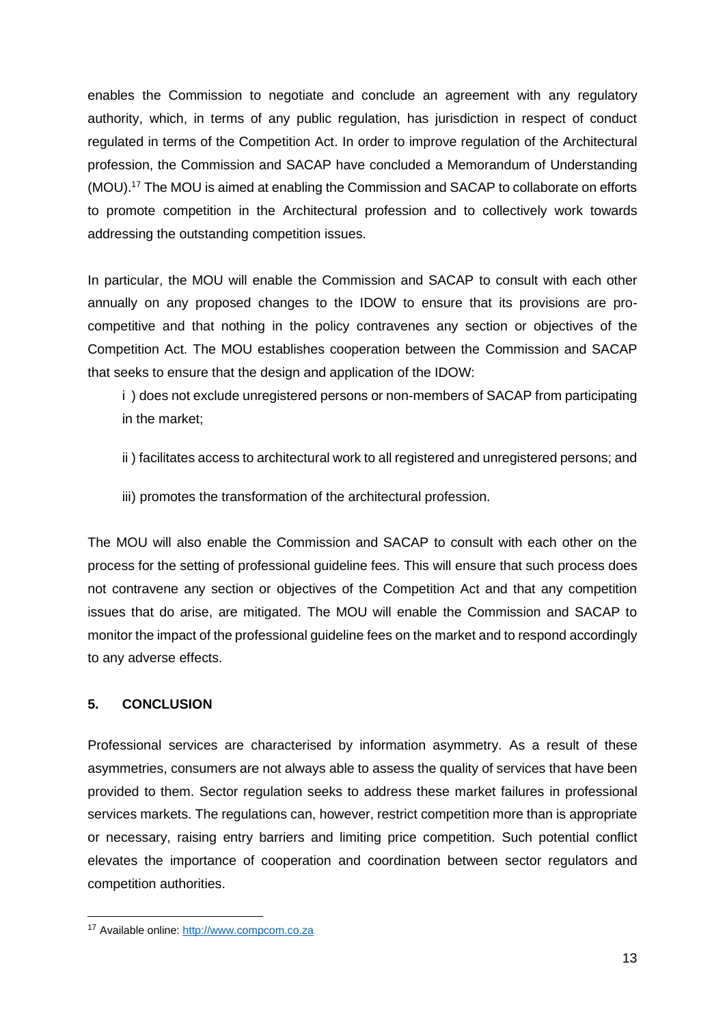enables the Commission to negotiate and conclude an agreement with any regulatory authority, which, in terms of any public regulation, has jurisdiction in respect of conduct regulated in terms of the Competition Act. In order to improve regulation of the Architectural profession, the Commission and SACAP have concluded a Memorandum of Understanding (MOU). <sup>17</sup> The MOU is aimed at enabling the Commission and SACAP to collaborate on efforts to promote competition in the Architectural profession and to collectively work towards addressing the outstanding competition issues.

In particular, the MOU will enable the Commission and SACAP to consult with each other annually on any proposed changes to the IDOW to ensure that its provisions are procompetitive and that nothing in the policy contravenes any section or objectives of the Competition Act. The MOU establishes cooperation between the Commission and SACAP that seeks to ensure that the design and application of the IDOW:

i ) does not exclude unregistered persons or non-members of SACAP from participating in the market;

- ii ) facilitates access to architectural work to all registered and unregistered persons; and
- iii) promotes the transformation of the architectural profession.

The MOU will also enable the Commission and SACAP to consult with each other on the process for the setting of professional guideline fees. This will ensure that such process does not contravene any section or objectives of the Competition Act and that any competition issues that do arise, are mitigated. The MOU will enable the Commission and SACAP to monitor the impact of the professional guideline fees on the market and to respond accordingly to any adverse effects.

### **5. CONCLUSION**

Professional services are characterised by information asymmetry. As a result of these asymmetries, consumers are not always able to assess the quality of services that have been provided to them. Sector regulation seeks to address these market failures in professional services markets. The regulations can, however, restrict competition more than is appropriate or necessary, raising entry barriers and limiting price competition. Such potential conflict elevates the importance of cooperation and coordination between sector regulators and competition authorities.

<sup>17</sup> Available online: [http://www.compcom.co.za](http://www.compcom.co.za/)